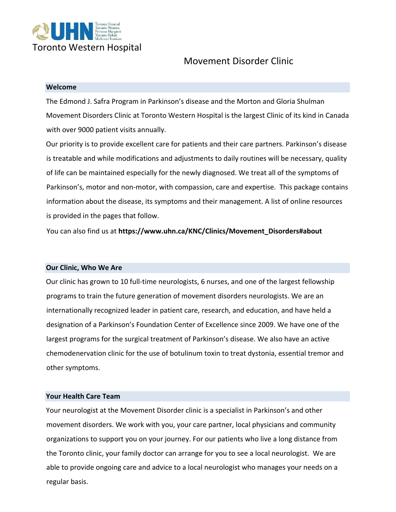

# Movement Disorder Clinic

#### **Welcome**

The Edmond J. Safra Program in Parkinson's disease and the Morton and Gloria Shulman Movement Disorders Clinic at Toronto Western Hospital is the largest Clinic of its kind in Canada with over 9000 patient visits annually.

Our priority is to provide excellent care for patients and their care partners. Parkinson's disease is treatable and while modifications and adjustments to daily routines will be necessary, quality of life can be maintained especially for the newly diagnosed. We treat all of the symptoms of Parkinson's, motor and non-motor, with compassion, care and expertise. This package contains information about the disease, its symptoms and their management. A list of online resources is provided in the pages that follow.

You can also find us at **https://www.uhn.ca/KNC/Clinics/Movement\_Disorders#about**

#### **Our Clinic, Who We Are**

Our clinic has grown to 10 full-time neurologists, 6 nurses, and one of the largest fellowship programs to train the future generation of movement disorders neurologists. We are an internationally recognized leader in patient care, research, and education, and have held a designation of a Parkinson's Foundation Center of Excellence since 2009. We have one of the largest programs for the surgical treatment of Parkinson's disease. We also have an active chemodenervation clinic for the use of botulinum toxin to treat dystonia, essential tremor and other symptoms.

#### **Your Health Care Team**

Your neurologist at the Movement Disorder clinic is a specialist in Parkinson's and other movement disorders. We work with you, your care partner, local physicians and community organizations to support you on your journey. For our patients who live a long distance from the Toronto clinic, your family doctor can arrange for you to see a local neurologist. We are able to provide ongoing care and advice to a local neurologist who manages your needs on a regular basis.